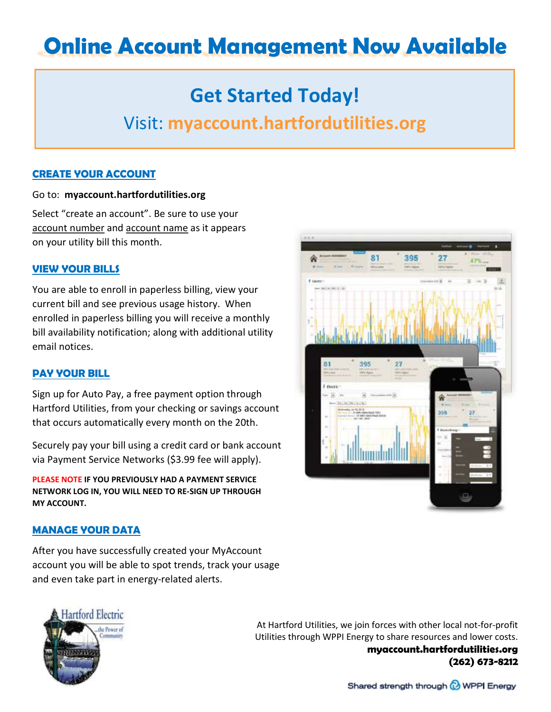# Online Account Management Now Available

## Get Started Today!

### Visit: myaccount.hartfordutilities.org

#### CREATE YOUR ACCOUNT

#### Go to: myaccount.hartfordutilities.org

Select "create an account". Be sure to use your account number and account name as it appears on your utility bill this month.

#### VIEW YOUR BILLS

You are able to enroll in paperless billing, view your current bill and see previous usage history. When enrolled in paperless billing you will receive a monthly bill availability notification; along with additional utility email notices.

#### PAY YOUR BILL

Sign up for Auto Pay, a free payment option through Hartford Utilities, from your checking or savings account that occurs automatically every month on the 20th.

Securely pay your bill using a credit card or bank account via Payment Service Networks (\$3.99 fee will apply).

PLEASE NOTE IF YOU PREVIOUSLY HAD A PAYMENT SERVICE NETWORK LOG IN, YOU WILL NEED TO RE-SIGN UP THROUGH MY ACCOUNT.

#### MANAGE YOUR DATA

After you have successfully created your MyAccount account you will be able to spot trends, track your usage and even take part in energy-related alerts.



At Hartford Utilities, we join forces with other local not-for-profit Utilities through WPPI Energy to share resources and lower costs. myaccount.hartfordutilities.org (262) 673-8212